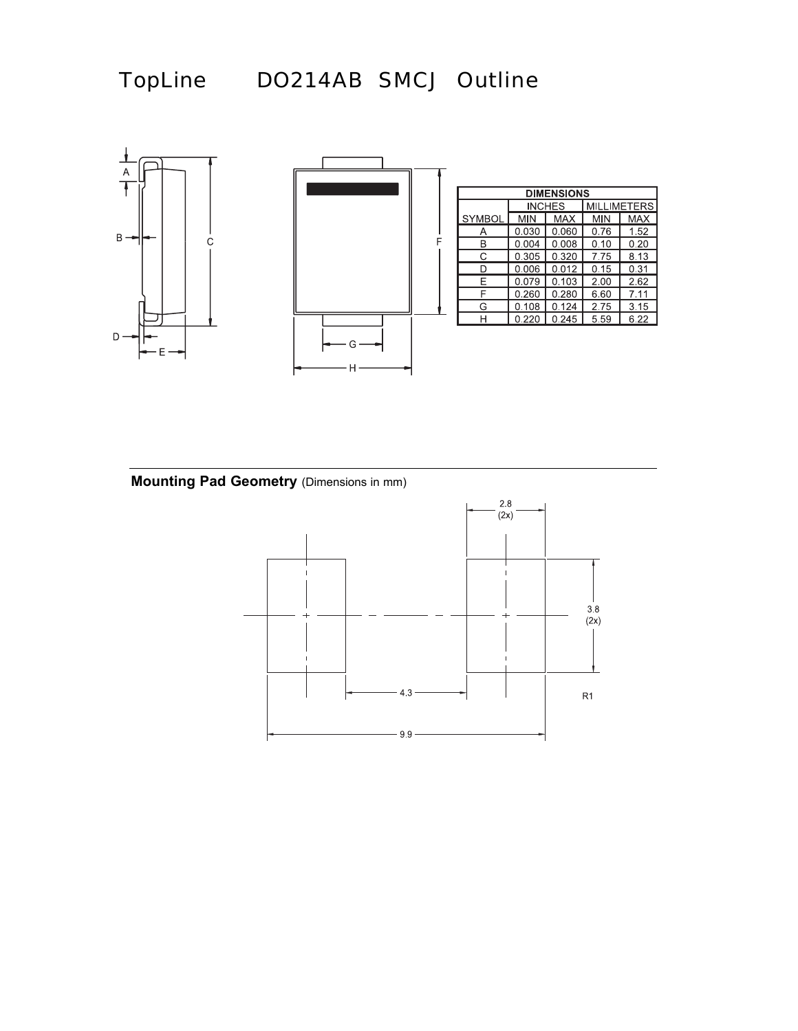



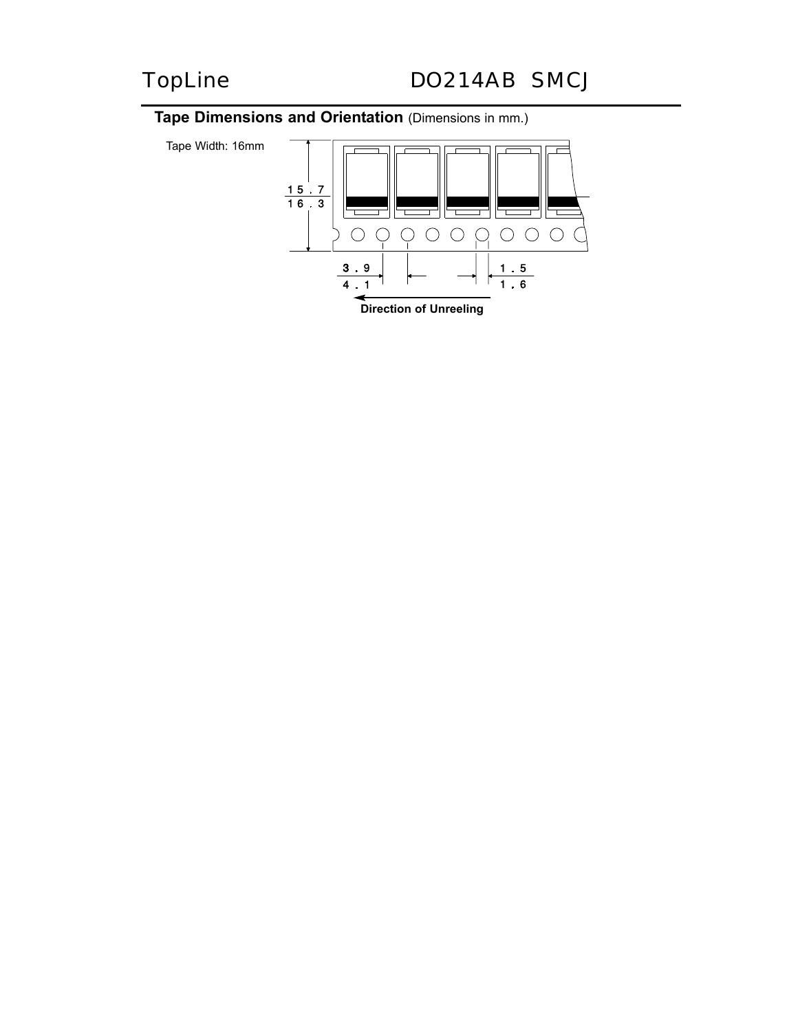## **Tape Dimensions and Orientation** (Dimensions in mm.)